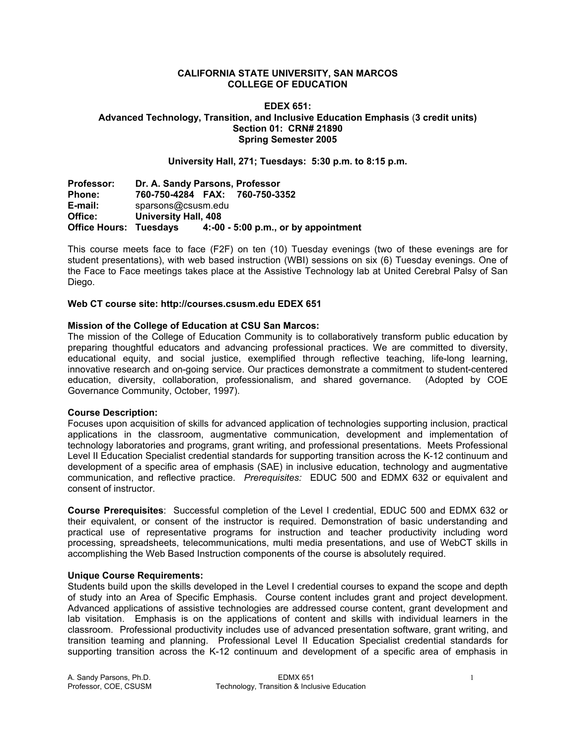#### **CALIFORNIA STATE UNIVERSITY, SAN MARCOS COLLEGE OF EDUCATION**

# **EDEX 651: Advanced Technology, Transition, and Inclusive Education Emphasis** (**3 credit units) Section 01: CRN# 21890 Spring Semester 2005**

#### **University Hall, 271; Tuesdays: 5:30 p.m. to 8:15 p.m.**

**Professor: Dr. A. Sandy Parsons, Professor Phone: 760-750-4284 FAX: 760-750-3352 E-mail:** sparsons@csusm.edu Office: University Hall, 408<br>Office Hours: Tuesdays 4:-00 **Office Hours: Tuesdays 4:-00 - 5:00 p.m., or by appointment** 

This course meets face to face (F2F) on ten (10) Tuesday evenings (two of these evenings are for student presentations), with web based instruction (WBI) sessions on six (6) Tuesday evenings. One of the Face to Face meetings takes place at the Assistive Technology lab at United Cerebral Palsy of San Diego.

#### **Web CT course site: http://courses.csusm.edu EDEX 651**

#### **Mission of the College of Education at CSU San Marcos:**

The mission of the College of Education Community is to collaboratively transform public education by preparing thoughtful educators and advancing professional practices. We are committed to diversity, educational equity, and social justice, exemplified through reflective teaching, life-long learning, innovative research and on-going service. Our practices demonstrate a commitment to student-centered education, diversity, collaboration, professionalism, and shared governance. (Adopted by COE Governance Community, October, 1997).

#### **Course Description:**

Focuses upon acquisition of skills for advanced application of technologies supporting inclusion, practical applications in the classroom, augmentative communication, development and implementation of technology laboratories and programs, grant writing, and professional presentations. Meets Professional Level II Education Specialist credential standards for supporting transition across the K-12 continuum and development of a specific area of emphasis (SAE) in inclusive education, technology and augmentative communication, and reflective practice. *Prerequisites:* EDUC 500 and EDMX 632 or equivalent and consent of instructor.

**Course Prerequisites**: Successful completion of the Level I credential, EDUC 500 and EDMX 632 or their equivalent, or consent of the instructor is required. Demonstration of basic understanding and practical use of representative programs for instruction and teacher productivity including word processing, spreadsheets, telecommunications, multi media presentations, and use of WebCT skills in accomplishing the Web Based Instruction components of the course is absolutely required.

#### **Unique Course Requirements:**

Students build upon the skills developed in the Level I credential courses to expand the scope and depth of study into an Area of Specific Emphasis. Course content includes grant and project development. Advanced applications of assistive technologies are addressed course content, grant development and lab visitation. Emphasis is on the applications of content and skills with individual learners in the classroom. Professional productivity includes use of advanced presentation software, grant writing, and transition teaming and planning. Professional Level II Education Specialist credential standards for supporting transition across the K-12 continuum and development of a specific area of emphasis in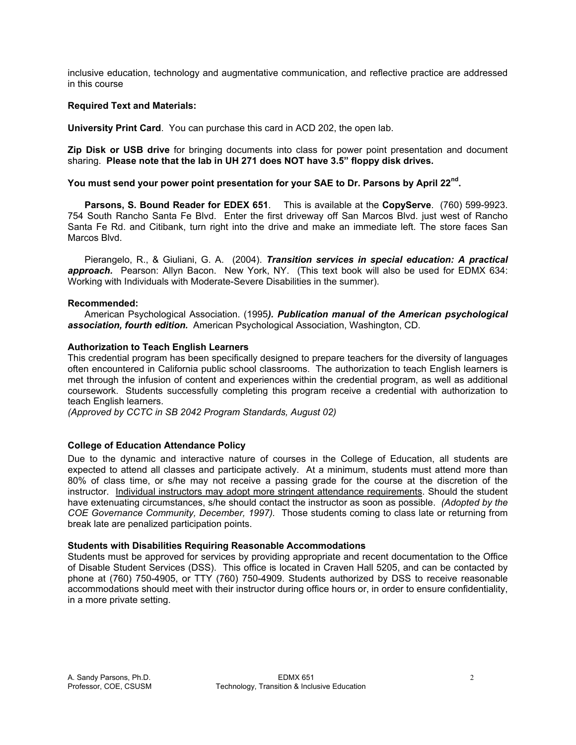inclusive education, technology and augmentative communication, and reflective practice are addressed in this course

# **Required Text and Materials:**

**University Print Card**. You can purchase this card in ACD 202, the open lab.

**Zip Disk or USB drive** for bringing documents into class for power point presentation and document sharing. **Please note that the lab in UH 271 does NOT have 3.5" floppy disk drives.**

# **You must send your power point presentation for your SAE to Dr. Parsons by April 22nd.**

**Parsons, S. Bound Reader for EDEX 651**. This is available at the **CopyServe**. (760) 599-9923. 754 South Rancho Santa Fe Blvd. Enter the first driveway off San Marcos Blvd. just west of Rancho Santa Fe Rd. and Citibank, turn right into the drive and make an immediate left. The store faces San Marcos Blvd.

 Pierangelo, R., & Giuliani, G. A. (2004). *Transition services in special education: A practical*  approach. Pearson: Allyn Bacon. New York, NY. (This text book will also be used for EDMX 634: Working with Individuals with Moderate-Severe Disabilities in the summer).

#### **Recommended:**

 American Psychological Association. (1995*). Publication manual of the American psychological association, fourth edition.* American Psychological Association, Washington, CD.

# **Authorization to Teach English Learners**

This credential program has been specifically designed to prepare teachers for the diversity of languages often encountered in California public school classrooms. The authorization to teach English learners is met through the infusion of content and experiences within the credential program, as well as additional coursework. Students successfully completing this program receive a credential with authorization to teach English learners.

*(Approved by CCTC in SB 2042 Program Standards, August 02)*

# **College of Education Attendance Policy**

Due to the dynamic and interactive nature of courses in the College of Education, all students are expected to attend all classes and participate actively. At a minimum, students must attend more than 80% of class time, or s/he may not receive a passing grade for the course at the discretion of the instructor. Individual instructors may adopt more stringent attendance requirements. Should the student have extenuating circumstances, s/he should contact the instructor as soon as possible. *(Adopted by the COE Governance Community, December, 1997).* Those students coming to class late or returning from break late are penalized participation points.

#### **Students with Disabilities Requiring Reasonable Accommodations**

Students must be approved for services by providing appropriate and recent documentation to the Office of Disable Student Services (DSS). This office is located in Craven Hall 5205, and can be contacted by phone at (760) 750-4905, or TTY (760) 750-4909. Students authorized by DSS to receive reasonable accommodations should meet with their instructor during office hours or, in order to ensure confidentiality, in a more private setting.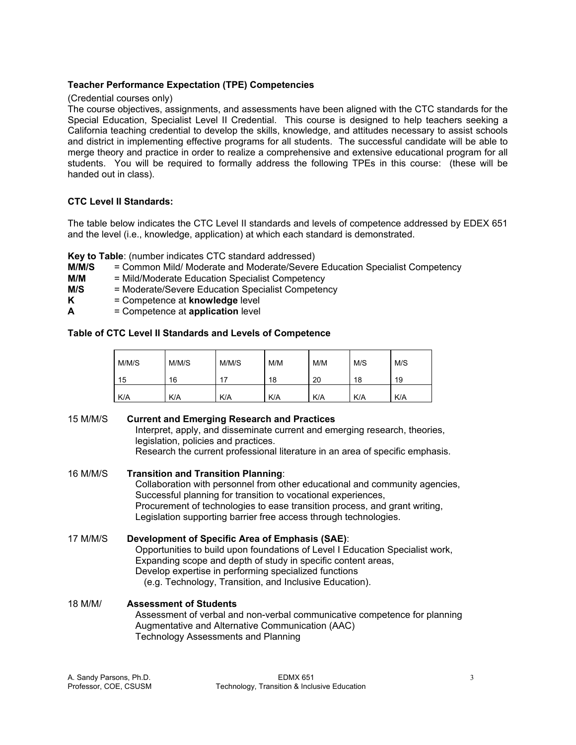# **Teacher Performance Expectation (TPE) Competencies**

# (Credential courses only)

The course objectives, assignments, and assessments have been aligned with the CTC standards for the Special Education, Specialist Level II Credential. This course is designed to help teachers seeking a California teaching credential to develop the skills, knowledge, and attitudes necessary to assist schools and district in implementing effective programs for all students. The successful candidate will be able to merge theory and practice in order to realize a comprehensive and extensive educational program for all students. You will be required to formally address the following TPEs in this course: (these will be handed out in class).

# **CTC Level II Standards:**

The table below indicates the CTC Level II standards and levels of competence addressed by EDEX 651 and the level (i.e., knowledge, application) at which each standard is demonstrated.

**Key to Table**: (number indicates CTC standard addressed)

- **M/M/S** = Common Mild/ Moderate and Moderate/Severe Education Specialist Competency
- **M/M** = Mild/Moderate Education Specialist Competency
- **M/S** = Moderate/Severe Education Specialist Competency
- **K** = Competence at **knowledge** level
- **A** = Competence at **application** level

# **Table of CTC Level II Standards and Levels of Competence**

| M/M/S | M/M/S | M/M/S | M/M | M/M | M/S | M/S |
|-------|-------|-------|-----|-----|-----|-----|
| 15    | 16    | 17    | 18  | 20  | 18  | 19  |
| K/A   | K/A   | K/A   | K/A | K/A | K/A | K/A |

15 M/M/S **Current and Emerging Research and Practices** Interpret, apply, and disseminate current and emerging research, theories, legislation, policies and practices. Research the current professional literature in an area of specific emphasis.

- 16 M/M/S **Transition and Transition Planning**: Collaboration with personnel from other educational and community agencies, Successful planning for transition to vocational experiences, Procurement of technologies to ease transition process, and grant writing, Legislation supporting barrier free access through technologies.
- 17 M/M/S **Development of Specific Area of Emphasis (SAE)**: Opportunities to build upon foundations of Level I Education Specialist work, Expanding scope and depth of study in specific content areas, Develop expertise in performing specialized functions (e.g. Technology, Transition, and Inclusive Education).
- 18 M/M/ **Assessment of Students** Assessment of verbal and non-verbal communicative competence for planning Augmentative and Alternative Communication (AAC) Technology Assessments and Planning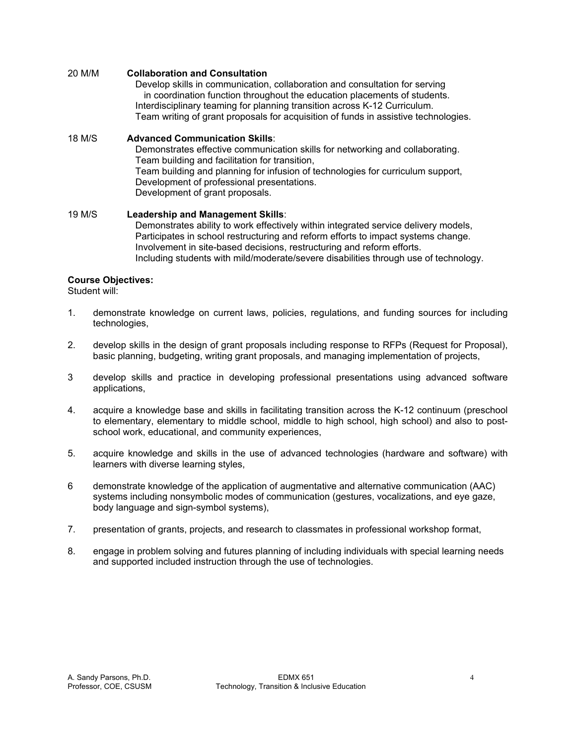# 20 M/M **Collaboration and Consultation**

 Develop skills in communication, collaboration and consultation for serving in coordination function throughout the education placements of students. Interdisciplinary teaming for planning transition across K-12 Curriculum. Team writing of grant proposals for acquisition of funds in assistive technologies.

#### 18 M/S **Advanced Communication Skills**:

 Demonstrates effective communication skills for networking and collaborating. Team building and facilitation for transition, Team building and planning for infusion of technologies for curriculum support, Development of professional presentations. Development of grant proposals.

# 19 M/S **Leadership and Management Skills**:

 Demonstrates ability to work effectively within integrated service delivery models, Participates in school restructuring and reform efforts to impact systems change. Involvement in site-based decisions, restructuring and reform efforts. Including students with mild/moderate/severe disabilities through use of technology.

# **Course Objectives:**

Student will:

- 1. demonstrate knowledge on current laws, policies, regulations, and funding sources for including technologies,
- 2. develop skills in the design of grant proposals including response to RFPs (Request for Proposal), basic planning, budgeting, writing grant proposals, and managing implementation of projects,
- 3 develop skills and practice in developing professional presentations using advanced software applications,
- 4. acquire a knowledge base and skills in facilitating transition across the K-12 continuum (preschool to elementary, elementary to middle school, middle to high school, high school) and also to postschool work, educational, and community experiences,
- 5. acquire knowledge and skills in the use of advanced technologies (hardware and software) with learners with diverse learning styles,
- 6 demonstrate knowledge of the application of augmentative and alternative communication (AAC) systems including nonsymbolic modes of communication (gestures, vocalizations, and eye gaze, body language and sign-symbol systems),
- 7. presentation of grants, projects, and research to classmates in professional workshop format,
- 8. engage in problem solving and futures planning of including individuals with special learning needs and supported included instruction through the use of technologies.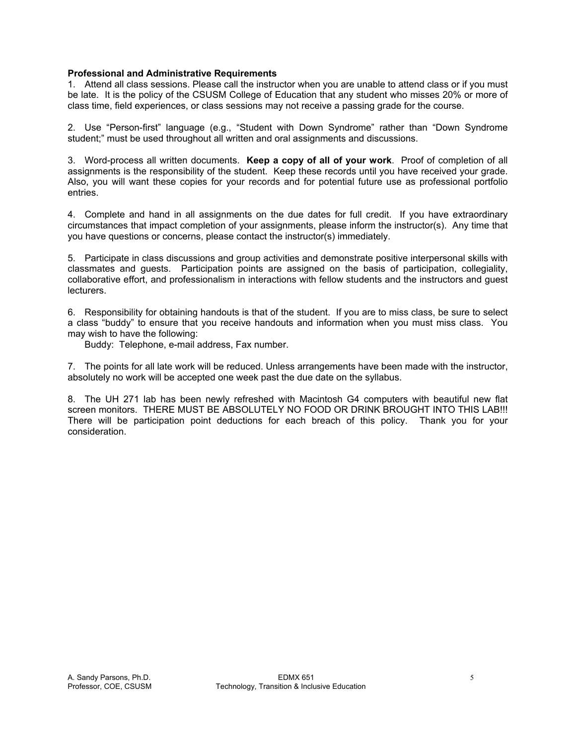#### **Professional and Administrative Requirements**

1. Attend all class sessions. Please call the instructor when you are unable to attend class or if you must be late. It is the policy of the CSUSM College of Education that any student who misses 20% or more of class time, field experiences, or class sessions may not receive a passing grade for the course.

2. Use "Person-first" language (e.g., "Student with Down Syndrome" rather than "Down Syndrome student;" must be used throughout all written and oral assignments and discussions.

3. Word-process all written documents. **Keep a copy of all of your work**. Proof of completion of all assignments is the responsibility of the student. Keep these records until you have received your grade. Also, you will want these copies for your records and for potential future use as professional portfolio entries.

4. Complete and hand in all assignments on the due dates for full credit. If you have extraordinary circumstances that impact completion of your assignments, please inform the instructor(s). Any time that you have questions or concerns, please contact the instructor(s) immediately.

5. Participate in class discussions and group activities and demonstrate positive interpersonal skills with classmates and guests. Participation points are assigned on the basis of participation, collegiality, collaborative effort, and professionalism in interactions with fellow students and the instructors and guest lecturers.

6. Responsibility for obtaining handouts is that of the student. If you are to miss class, be sure to select a class "buddy" to ensure that you receive handouts and information when you must miss class. You may wish to have the following:

Buddy: Telephone, e-mail address, Fax number.

7. The points for all late work will be reduced. Unless arrangements have been made with the instructor, absolutely no work will be accepted one week past the due date on the syllabus.

8. The UH 271 lab has been newly refreshed with Macintosh G4 computers with beautiful new flat screen monitors. THERE MUST BE ABSOLUTELY NO FOOD OR DRINK BROUGHT INTO THIS LAB!!! There will be participation point deductions for each breach of this policy. Thank you for your consideration.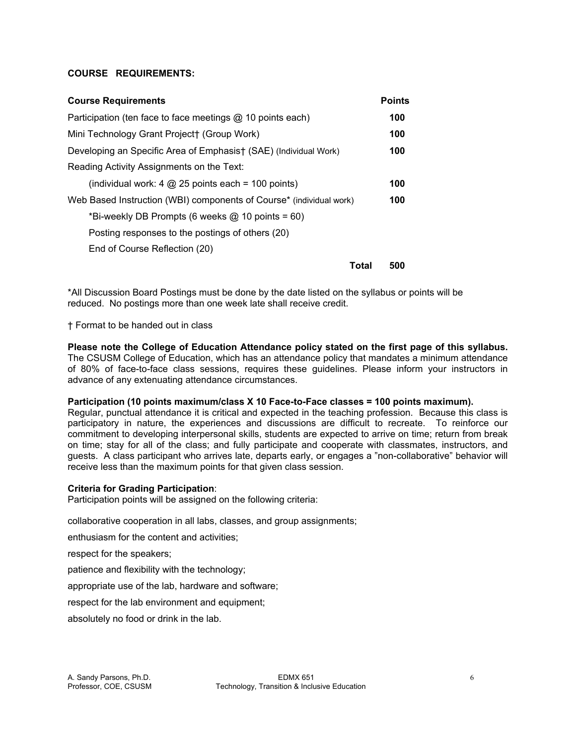# **COURSE REQUIREMENTS:**

| <b>Course Requirements</b>                                          | <b>Points</b> |
|---------------------------------------------------------------------|---------------|
| Participation (ten face to face meetings @ 10 points each)          | 100           |
| Mini Technology Grant Project† (Group Work)                         | 100           |
| Developing an Specific Area of Emphasist (SAE) (Individual Work)    | 100           |
| Reading Activity Assignments on the Text:                           |               |
| (individual work: 4 $@$ 25 points each = 100 points)                | 100           |
| Web Based Instruction (WBI) components of Course* (individual work) | 100           |
| *Bi-weekly DB Prompts (6 weeks $@$ 10 points = 60)                  |               |
| Posting responses to the postings of others (20)                    |               |
| End of Course Reflection (20)                                       |               |
| Total                                                               | 500           |

\*All Discussion Board Postings must be done by the date listed on the syllabus or points will be reduced. No postings more than one week late shall receive credit.

† Format to be handed out in class

**Please note the College of Education Attendance policy stated on the first page of this syllabus.**  The CSUSM College of Education, which has an attendance policy that mandates a minimum attendance of 80% of face-to-face class sessions, requires these guidelines. Please inform your instructors in advance of any extenuating attendance circumstances.

#### **Participation (10 points maximum/class X 10 Face-to-Face classes = 100 points maximum).**

Regular, punctual attendance it is critical and expected in the teaching profession. Because this class is participatory in nature, the experiences and discussions are difficult to recreate. To reinforce our commitment to developing interpersonal skills, students are expected to arrive on time; return from break on time; stay for all of the class; and fully participate and cooperate with classmates, instructors, and guests. A class participant who arrives late, departs early, or engages a "non-collaborative" behavior will receive less than the maximum points for that given class session.

#### **Criteria for Grading Participation**:

Participation points will be assigned on the following criteria:

collaborative cooperation in all labs, classes, and group assignments;

enthusiasm for the content and activities;

respect for the speakers;

patience and flexibility with the technology;

appropriate use of the lab, hardware and software;

respect for the lab environment and equipment;

absolutely no food or drink in the lab.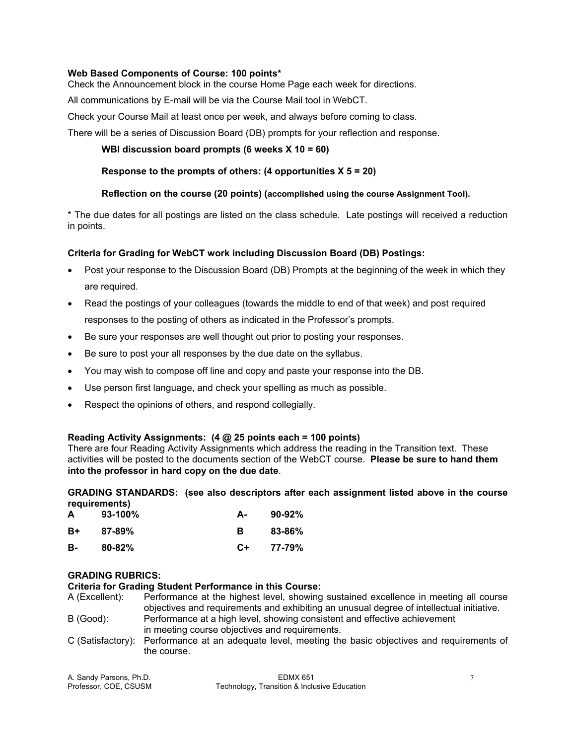# **Web Based Components of Course: 100 points\***

Check the Announcement block in the course Home Page each week for directions.

All communications by E-mail will be via the Course Mail tool in WebCT.

Check your Course Mail at least once per week, and always before coming to class.

There will be a series of Discussion Board (DB) prompts for your reflection and response.

# **WBI discussion board prompts (6 weeks X 10 = 60)**

# **Response to the prompts of others: (4 opportunities X 5 = 20)**

# **Reflection on the course (20 points) (accomplished using the course Assignment Tool).**

\* The due dates for all postings are listed on the class schedule. Late postings will received a reduction in points.

# **Criteria for Grading for WebCT work including Discussion Board (DB) Postings:**

- Post your response to the Discussion Board (DB) Prompts at the beginning of the week in which they are required.
- Read the postings of your colleagues (towards the middle to end of that week) and post required responses to the posting of others as indicated in the Professor's prompts.
- Be sure your responses are well thought out prior to posting your responses.
- Be sure to post your all responses by the due date on the syllabus.
- You may wish to compose off line and copy and paste your response into the DB.
- Use person first language, and check your spelling as much as possible.
- Respect the opinions of others, and respond collegially.

#### **Reading Activity Assignments: (4 @ 25 points each = 100 points)**

There are four Reading Activity Assignments which address the reading in the Transition text. These activities will be posted to the documents section of the WebCT course. **Please be sure to hand them into the professor in hard copy on the due date**.

# **GRADING STANDARDS: (see also descriptors after each assignment listed above in the course requirements)**

| A  | $93-100%$  | А- | $90-92\%$ |
|----|------------|----|-----------|
| B+ | $87 - 89%$ | в  | 83-86%    |
| в- | $80 - 82%$ | C+ | 77-79%    |

#### **GRADING RUBRICS:**

**Criteria for Grading Student Performance in this Course:**

- A (Excellent): Performance at the highest level, showing sustained excellence in meeting all course objectives and requirements and exhibiting an unusual degree of intellectual initiative. B (Good): Performance at a high level, showing consistent and effective achievement in meeting course objectives and requirements.
- C (Satisfactory): Performance at an adequate level, meeting the basic objectives and requirements of the course.

| A. Sandy Parsons, Ph.D. | <b>EDMX 651</b>                              |  |
|-------------------------|----------------------------------------------|--|
| Professor, COE, CSUSM   | Technology, Transition & Inclusive Education |  |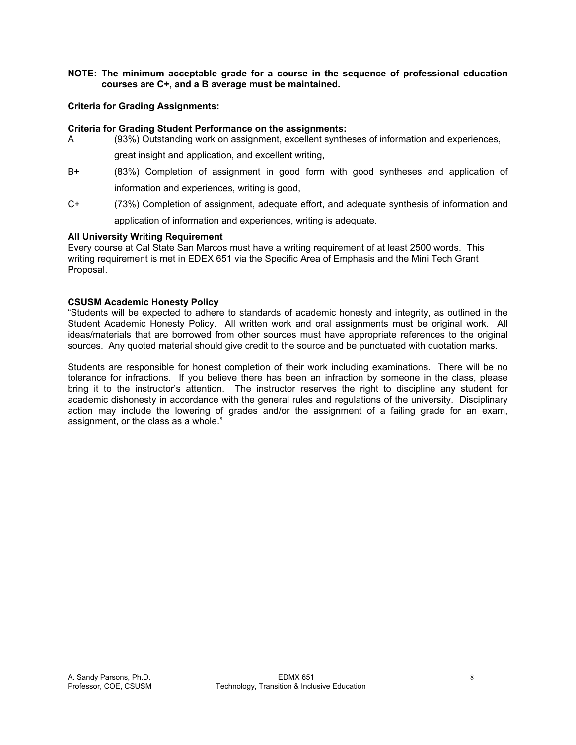# **NOTE: The minimum acceptable grade for a course in the sequence of professional education courses are C+, and a B average must be maintained.**

# **Criteria for Grading Assignments:**

#### **Criteria for Grading Student Performance on the assignments:**

- A (93%) Outstanding work on assignment, excellent syntheses of information and experiences, great insight and application, and excellent writing,
- B+ (83%) Completion of assignment in good form with good syntheses and application of information and experiences, writing is good,
- C+ (73%) Completion of assignment, adequate effort, and adequate synthesis of information and application of information and experiences, writing is adequate.

#### **All University Writing Requirement**

Every course at Cal State San Marcos must have a writing requirement of at least 2500 words. This writing requirement is met in EDEX 651 via the Specific Area of Emphasis and the Mini Tech Grant Proposal.

# **CSUSM Academic Honesty Policy**

"Students will be expected to adhere to standards of academic honesty and integrity, as outlined in the Student Academic Honesty Policy. All written work and oral assignments must be original work. All ideas/materials that are borrowed from other sources must have appropriate references to the original sources. Any quoted material should give credit to the source and be punctuated with quotation marks.

Students are responsible for honest completion of their work including examinations. There will be no tolerance for infractions. If you believe there has been an infraction by someone in the class, please bring it to the instructor's attention. The instructor reserves the right to discipline any student for academic dishonesty in accordance with the general rules and regulations of the university. Disciplinary action may include the lowering of grades and/or the assignment of a failing grade for an exam, assignment, or the class as a whole."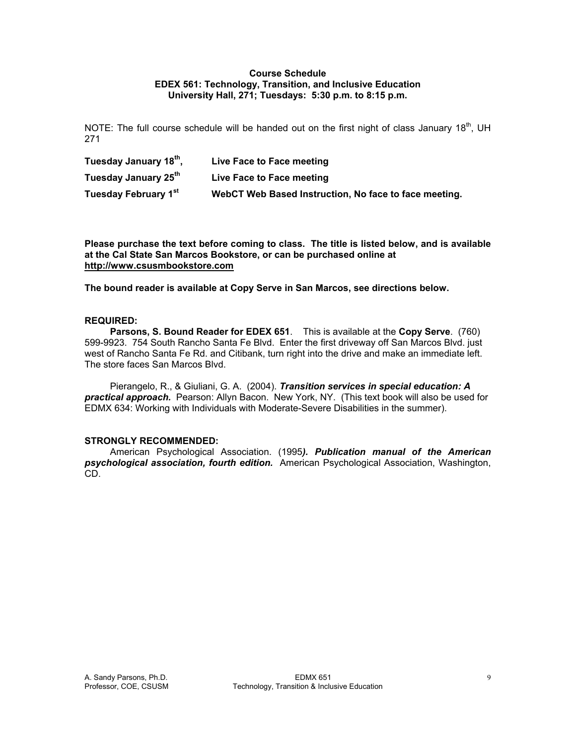#### **Course Schedule EDEX 561: Technology, Transition, and Inclusive Education University Hall, 271; Tuesdays: 5:30 p.m. to 8:15 p.m.**

NOTE: The full course schedule will be handed out on the first night of class January 18<sup>th</sup>, UH 271

| Tuesday January 18th, | Live Face to Face meeting                             |
|-----------------------|-------------------------------------------------------|
| Tuesday January 25th  | Live Face to Face meeting                             |
| Tuesday February 1st  | WebCT Web Based Instruction, No face to face meeting. |

**Please purchase the text before coming to class. The title is listed below, and is available at the Cal State San Marcos Bookstore, or can be purchased online at http://www.csusmbookstore.com** 

**The bound reader is available at Copy Serve in San Marcos, see directions below.** 

# **REQUIRED:**

 **Parsons, S. Bound Reader for EDEX 651**. This is available at the **Copy Serve**. (760) 599-9923. 754 South Rancho Santa Fe Blvd. Enter the first driveway off San Marcos Blvd. just west of Rancho Santa Fe Rd. and Citibank, turn right into the drive and make an immediate left. The store faces San Marcos Blvd.

 Pierangelo, R., & Giuliani, G. A. (2004). *Transition services in special education: A practical approach.* Pearson: Allyn Bacon. New York, NY. (This text book will also be used for EDMX 634: Working with Individuals with Moderate-Severe Disabilities in the summer).

#### **STRONGLY RECOMMENDED:**

 American Psychological Association. (1995*). Publication manual of the American psychological association, fourth edition.* American Psychological Association, Washington, CD.